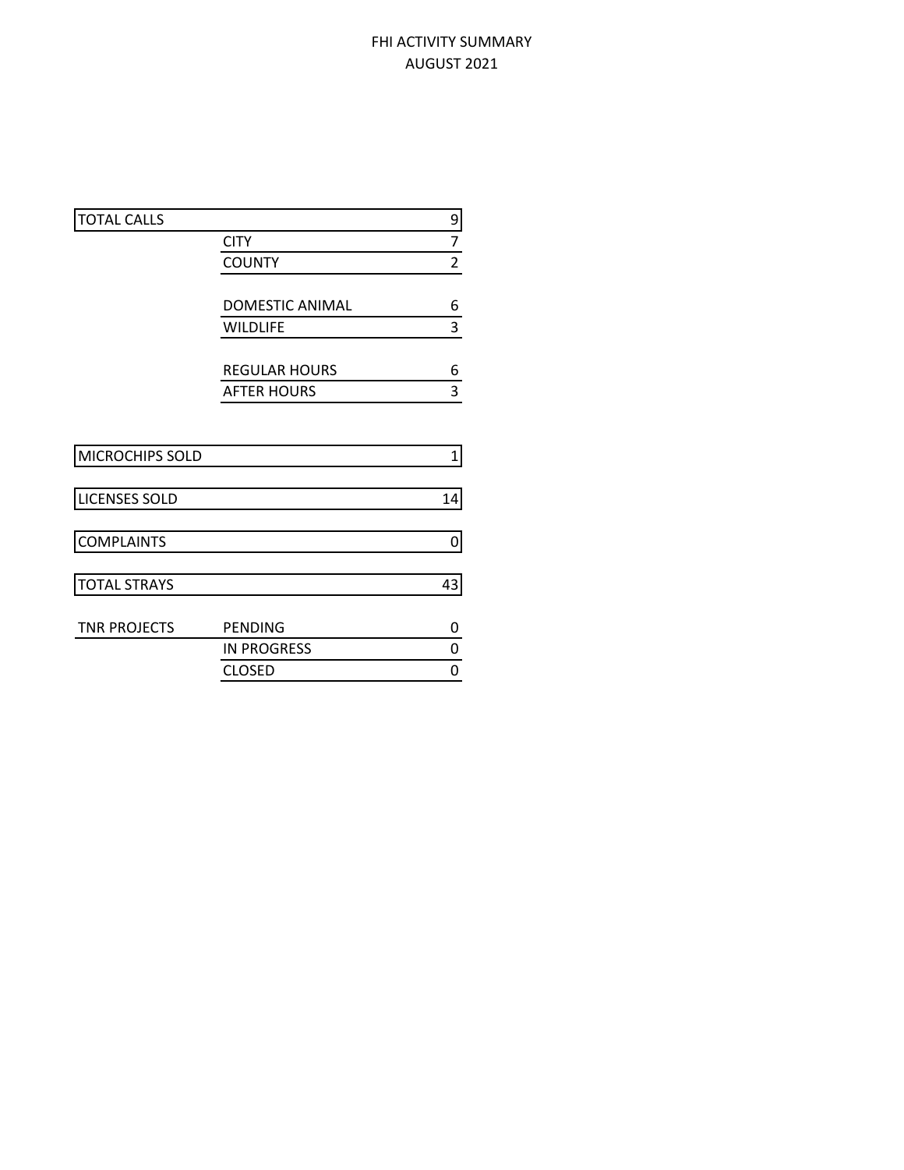## FHI ACTIVITY SUMMARY AUGUST 2021

| <b>TOTAL CALLS</b>   |                        | 9              |
|----------------------|------------------------|----------------|
|                      | <b>CITY</b>            | 7              |
|                      | <b>COUNTY</b>          | $\overline{2}$ |
|                      |                        |                |
|                      | <b>DOMESTIC ANIMAL</b> | 6              |
|                      | <b>WILDLIFE</b>        | 3              |
|                      | <b>REGULAR HOURS</b>   | 6              |
|                      | <b>AFTER HOURS</b>     | 3              |
|                      |                        |                |
| MICROCHIPS SOLD      |                        | $\mathbf 1$    |
| <b>LICENSES SOLD</b> |                        | 14             |
| <b>COMPLAINTS</b>    |                        | 0              |
| <b>TOTAL STRAYS</b>  |                        | 43             |
|                      |                        |                |
| <b>TNR PROJECTS</b>  | <b>PENDING</b>         | 0              |
|                      | <b>IN PROGRESS</b>     | 0              |
|                      | <b>CLOSED</b>          | 0              |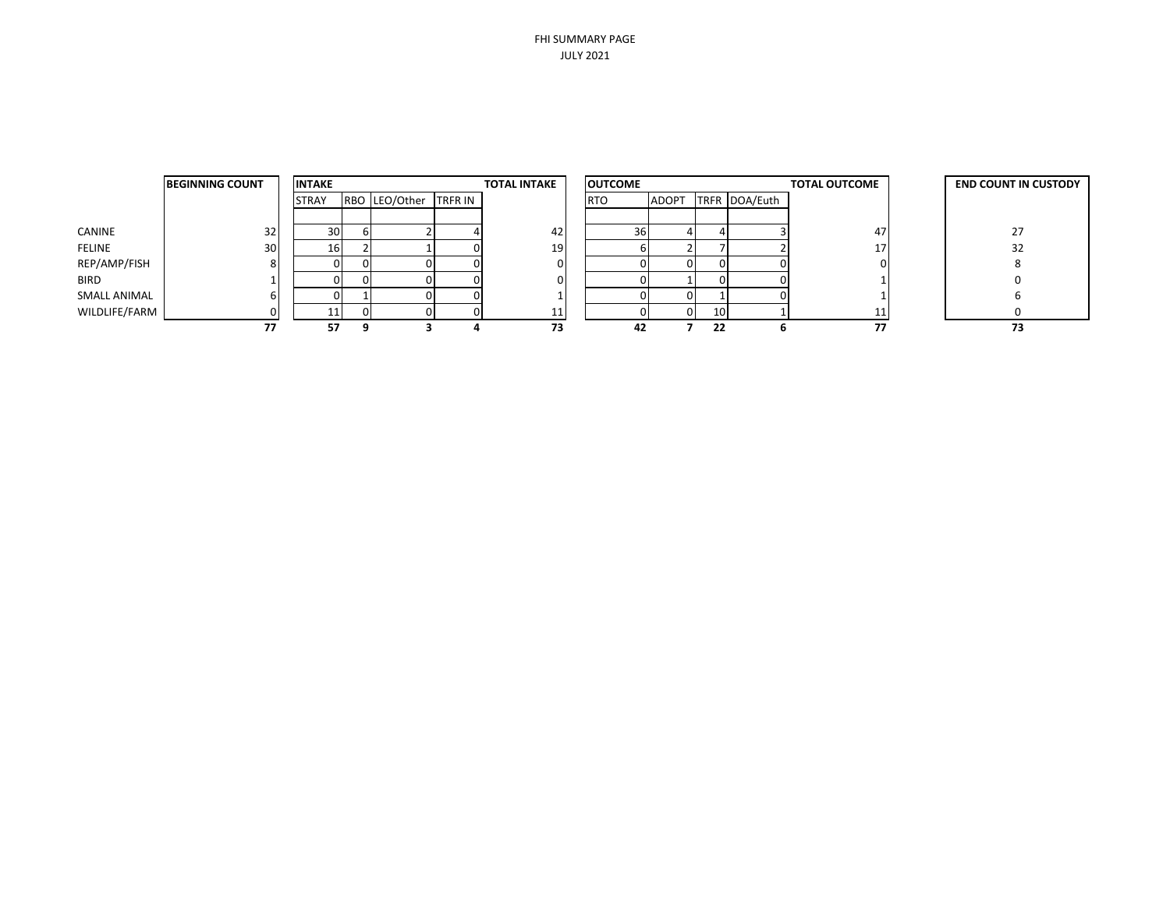|               | <b>BEGINNING COUNT</b> | <b>INTAKE</b> |                       | <b>TOTAL INTAKE</b> | <b>OUTCOME</b> |              |    |               | <b>TOTAL OUTCOME</b> | <b>END COUNT IN CUSTODY</b> |
|---------------|------------------------|---------------|-----------------------|---------------------|----------------|--------------|----|---------------|----------------------|-----------------------------|
|               |                        | <b>STRAY</b>  | RBO LEO/Other TRFR IN |                     | <b>RTO</b>     | <b>ADOPT</b> |    | TRFR DOA/Euth |                      |                             |
|               |                        |               |                       |                     |                |              |    |               |                      |                             |
| CANINE        | 32                     | 30            |                       | 42                  | 36             |              |    |               | 47                   | 27                          |
| FELINE        | 30                     | 16            |                       | 19                  |                |              |    |               |                      | 32                          |
| REP/AMP/FISH  | 8                      |               |                       |                     |                |              |    |               |                      |                             |
| <b>BIRD</b>   |                        |               |                       |                     |                |              |    |               |                      |                             |
| SMALL ANIMAL  | b                      |               |                       |                     |                |              |    |               |                      |                             |
| WILDLIFE/FARM | 0                      |               |                       |                     |                |              | 10 |               |                      |                             |
|               | 77                     | 57            |                       | 73                  | 42             |              | 22 |               | 77                   | 73                          |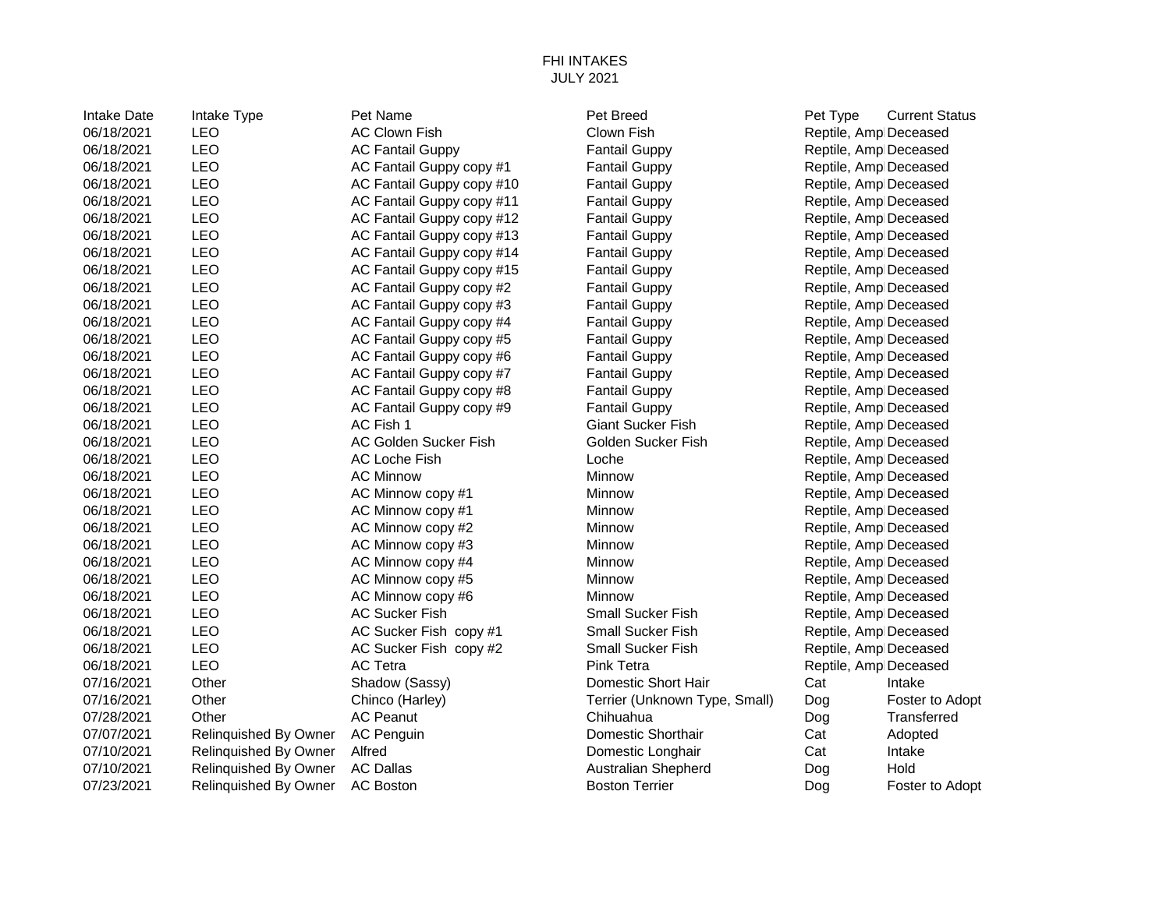## FHI INTAKES JULY 2021

| <b>Intake Date</b> | Intake Type                  | Pet Name                  | Pet Breed                     | Pet Type              | <b>Current Status</b> |
|--------------------|------------------------------|---------------------------|-------------------------------|-----------------------|-----------------------|
| 06/18/2021         | <b>LEO</b>                   | <b>AC Clown Fish</b>      | Clown Fish                    | Reptile, Amp Deceased |                       |
| 06/18/2021         | <b>LEO</b>                   | <b>AC Fantail Guppy</b>   | <b>Fantail Guppy</b>          | Reptile, Amp Deceased |                       |
| 06/18/2021         | <b>LEO</b>                   | AC Fantail Guppy copy #1  | <b>Fantail Guppy</b>          | Reptile, Amp Deceased |                       |
| 06/18/2021         | <b>LEO</b>                   | AC Fantail Guppy copy #10 | <b>Fantail Guppy</b>          | Reptile, Amp Deceased |                       |
| 06/18/2021         | LEO                          | AC Fantail Guppy copy #11 | <b>Fantail Guppy</b>          | Reptile, Amp Deceased |                       |
| 06/18/2021         | <b>LEO</b>                   | AC Fantail Guppy copy #12 | <b>Fantail Guppy</b>          | Reptile, Amp Deceased |                       |
| 06/18/2021         | <b>LEO</b>                   | AC Fantail Guppy copy #13 | <b>Fantail Guppy</b>          | Reptile, Amp Deceased |                       |
| 06/18/2021         | LEO                          | AC Fantail Guppy copy #14 | <b>Fantail Guppy</b>          | Reptile, Amp Deceased |                       |
| 06/18/2021         | <b>LEO</b>                   | AC Fantail Guppy copy #15 | <b>Fantail Guppy</b>          | Reptile, Amp Deceased |                       |
| 06/18/2021         | <b>LEO</b>                   | AC Fantail Guppy copy #2  | <b>Fantail Guppy</b>          | Reptile, Amp Deceased |                       |
| 06/18/2021         | <b>LEO</b>                   | AC Fantail Guppy copy #3  | <b>Fantail Guppy</b>          | Reptile, Amp Deceased |                       |
| 06/18/2021         | <b>LEO</b>                   | AC Fantail Guppy copy #4  | <b>Fantail Guppy</b>          | Reptile, Amp Deceased |                       |
| 06/18/2021         | LEO                          | AC Fantail Guppy copy #5  | <b>Fantail Guppy</b>          | Reptile, Amp Deceased |                       |
| 06/18/2021         | <b>LEO</b>                   | AC Fantail Guppy copy #6  | <b>Fantail Guppy</b>          | Reptile, Amp Deceased |                       |
| 06/18/2021         | <b>LEO</b>                   | AC Fantail Guppy copy #7  | <b>Fantail Guppy</b>          | Reptile, Amp Deceased |                       |
| 06/18/2021         | LEO                          | AC Fantail Guppy copy #8  | <b>Fantail Guppy</b>          | Reptile, Amp Deceased |                       |
| 06/18/2021         | LEO                          | AC Fantail Guppy copy #9  | <b>Fantail Guppy</b>          | Reptile, Amp Deceased |                       |
| 06/18/2021         | <b>LEO</b>                   | AC Fish 1                 | <b>Giant Sucker Fish</b>      | Reptile, Amp Deceased |                       |
| 06/18/2021         | <b>LEO</b>                   | AC Golden Sucker Fish     | Golden Sucker Fish            | Reptile, Amp Deceased |                       |
| 06/18/2021         | <b>LEO</b>                   | <b>AC Loche Fish</b>      | Loche                         | Reptile, Amp Deceased |                       |
| 06/18/2021         | LEO                          | <b>AC Minnow</b>          | Minnow                        | Reptile, Amp Deceased |                       |
| 06/18/2021         | <b>LEO</b>                   | AC Minnow copy #1         | Minnow                        | Reptile, Amp Deceased |                       |
| 06/18/2021         | <b>LEO</b>                   | AC Minnow copy #1         | Minnow                        | Reptile, Amp Deceased |                       |
| 06/18/2021         | LEO                          | AC Minnow copy #2         | Minnow                        | Reptile, Amp Deceased |                       |
| 06/18/2021         | <b>LEO</b>                   | AC Minnow copy #3         | Minnow                        | Reptile, Amp Deceased |                       |
| 06/18/2021         | <b>LEO</b>                   | AC Minnow copy #4         | Minnow                        | Reptile, Amp Deceased |                       |
| 06/18/2021         | <b>LEO</b>                   | AC Minnow copy #5         | Minnow                        | Reptile, Amp Deceased |                       |
| 06/18/2021         | <b>LEO</b>                   | AC Minnow copy #6         | Minnow                        | Reptile, Amp Deceased |                       |
| 06/18/2021         | <b>LEO</b>                   | <b>AC Sucker Fish</b>     | Small Sucker Fish             | Reptile, Amp Deceased |                       |
| 06/18/2021         | <b>LEO</b>                   | AC Sucker Fish copy #1    | <b>Small Sucker Fish</b>      | Reptile, Amp Deceased |                       |
| 06/18/2021         | <b>LEO</b>                   | AC Sucker Fish copy #2    | Small Sucker Fish             | Reptile, Amp Deceased |                       |
| 06/18/2021         | LEO                          | <b>AC Tetra</b>           | <b>Pink Tetra</b>             | Reptile, Amp Deceased |                       |
| 07/16/2021         | Other                        | Shadow (Sassy)            | Domestic Short Hair           | Cat                   | Intake                |
| 07/16/2021         | Other                        | Chinco (Harley)           | Terrier (Unknown Type, Small) | Dog                   | Foster to Adopt       |
| 07/28/2021         | Other                        | <b>AC Peanut</b>          | Chihuahua                     | Dog                   | Transferred           |
| 07/07/2021         | Relinquished By Owner        | <b>AC Penguin</b>         | <b>Domestic Shorthair</b>     | Cat                   | Adopted               |
| 07/10/2021         | Relinquished By Owner        | Alfred                    | Domestic Longhair             | Cat                   | Intake                |
| 07/10/2021         | Relinquished By Owner        | <b>AC Dallas</b>          | <b>Australian Shepherd</b>    | Dog                   | Hold                  |
| 07/23/2021         | <b>Relinquished By Owner</b> | <b>AC Boston</b>          | <b>Boston Terrier</b>         | Doa                   | Foster to Adopt       |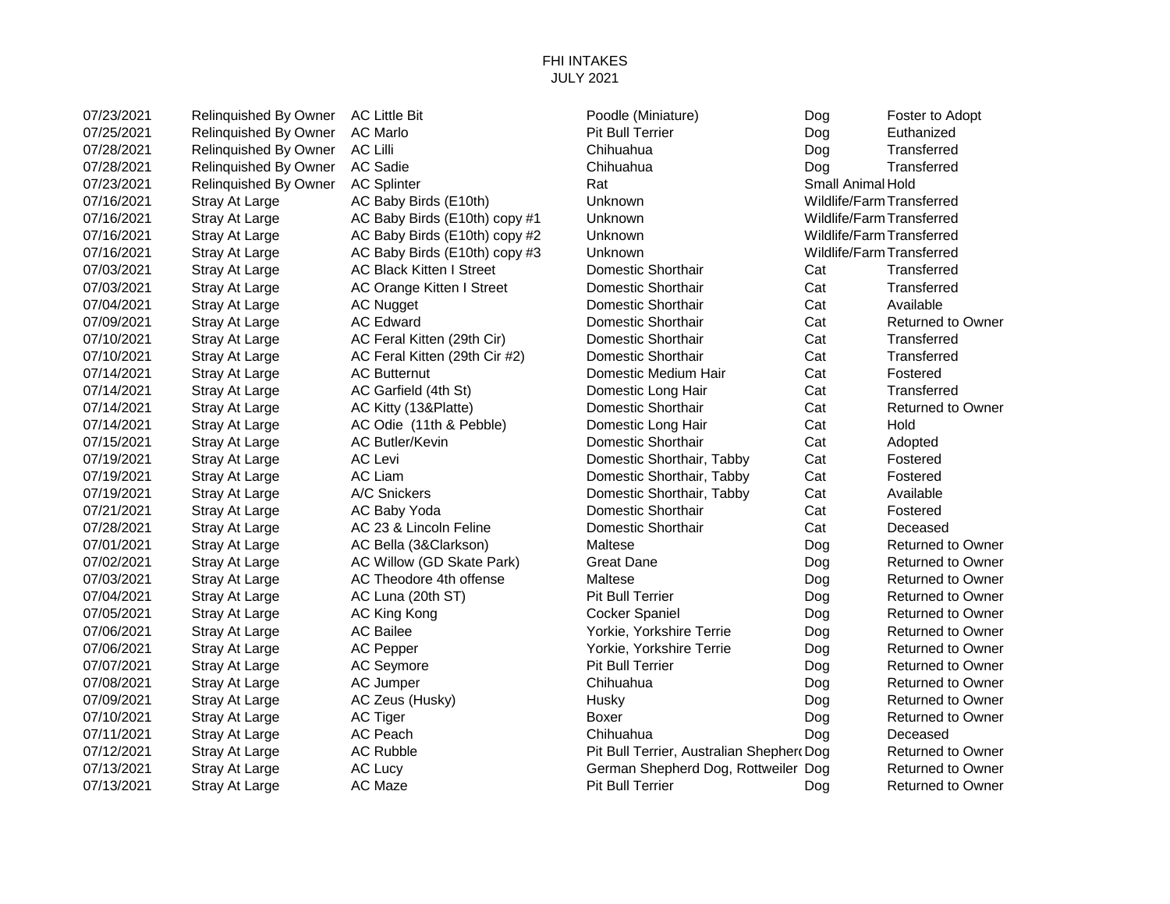## FHI INTAKES JULY 2021

07/23/2021 Relinquished By Owner AC Little Bit Poodle (Miniature) Dog Foster to Adopt 07/25/2021 Relinquished By Owner AC Marlo **Property Access Point Bull Terrier** Pit Bull Terrier **Dog** Euthanized 07/28/2021 Relinquished By Owner AC Lilli Chinamic Chihuahua Chihuahua Dog Transferred 07/28/2021 Relinquished By Owner AC Sadie Chihuahua Chihuahua Chihuahua Dog Transferred 07/23/2021 Relinquished By Owner AC Splinter Research Rat Rat Small Animal Hold 07/16/2021 Stray At Large **AC Baby Birds (E10th)** Unknown Unknown Wildlife/Farm Transferred 07/16/2021 Stray At Large **AC Baby Birds (E10th) copy #1** Unknown Wildlife/Farm Transferred 07/16/2021 Stray At Large AC Baby Birds (E10th) copy #2 Unknown Wildlife/Farm Transferred 07/16/2021 Stray At Large AC Baby Birds (E10th) copy #3 Unknown Wildlife/Farm Transferred 07/03/2021 Stray At Large AC Black Kitten I Street Domestic Shorthair Cat Transferred 07/03/2021 Stray At Large AC Orange Kitten I Street Domestic Shorthair Cat Transferred 07/04/2021 Stray At Large AC Nugget AC Nugget Domestic Shorthair Cat Available 07/09/2021 Stray At Large AC Edward **Domestic Shorthair** Cat Returned to Owner 07/10/2021 Stray At Large AC Feral Kitten (29th Cir) Domestic Shorthair Cat Transferred 07/10/2021 Stray At Large AC Feral Kitten (29th Cir #2) Domestic Shorthair Cat Transferred 07/14/2021 Stray At Large AC Butternut **Domestic Medium Hair** Cat Fostered 07/14/2021 Stray At Large AC Garfield (4th St) Domestic Long Hair Cat Transferred 07/14/2021 Stray At Large AC Kitty (13&Platte) Domestic Shorthair Cat Returned to Owner 07/14/2021 Stray At Large AC Odie (11th & Pebble) Domestic Long Hair Cat Hold 07/15/2021 Stray At Large AC Butler/Kevin **Domestic Shorthair** Cat Adopted 07/19/2021 Stray At Large AC Levi Comestic Shorthair, Tabby Cat Fostered 07/19/2021 Stray At Large AC Liam Comestic Shorthair, Tabby Cat Fostered 07/19/2021 Stray At Large A/C Snickers **Domestic Shorthair, Tabby Cat** Available 07/21/2021 Stray At Large AC Baby Yoda **Domestic Shorthair** Cat Fostered 07/28/2021 Stray At Large AC 23 & Lincoln Feline Domestic Shorthair Cat Deceased 07/01/2021 Stray At Large AC Bella (3&Clarkson) Maltese Company Dog Returned to Owner 07/02/2021 Stray At Large AC Willow (GD Skate Park) Great Dane Company Dog Returned to Owner 07/03/2021 Stray At Large AC Theodore 4th offense Maltese Maltese Dog Returned to Owner 07/04/2021 Stray At Large AC Luna (20th ST) Pit Bull Terrier Dog Returned to Owner 07/05/2021 Stray At Large AC King Kong Cocker Spaniel Dog Returned to Owner 07/06/2021 Stray At Large AC Bailee AC Bailee Yorkie, Yorkshire Terrie Dog Returned to Owner 07/06/2021 Stray At Large AC Pepper Subsetsmanned to Owner Yorkie, Yorkshire Terrie Dog Returned to Owner 07/07/2021 Stray At Large AC Seymore Pit Bull Terrier Dog Returned to Owner 07/08/2021 Stray At Large AC Jumper Chihuahua Dog Returned to Owner 07/09/2021 Stray At Large AC Zeus (Husky) Husky Husky Dog Returned to Owner 07/10/2021 Stray At Large AC Tiger Boxer Dog Returned to Owner 07/11/2021 Stray At Large AC Peach Chihuahua Dog Deceased 07/12/2021 Stray At Large AC Rubble **Pit Bull Terrier, Australian Shepherd** Dog Returned to Owner 07/13/2021 Stray At Large AC Lucy German Shepherd Dog, Rottweiler Dog Returned to Owner 07/13/2021 Stray At Large AC Maze **Pit Bull Terrier** Dog Returned to Owner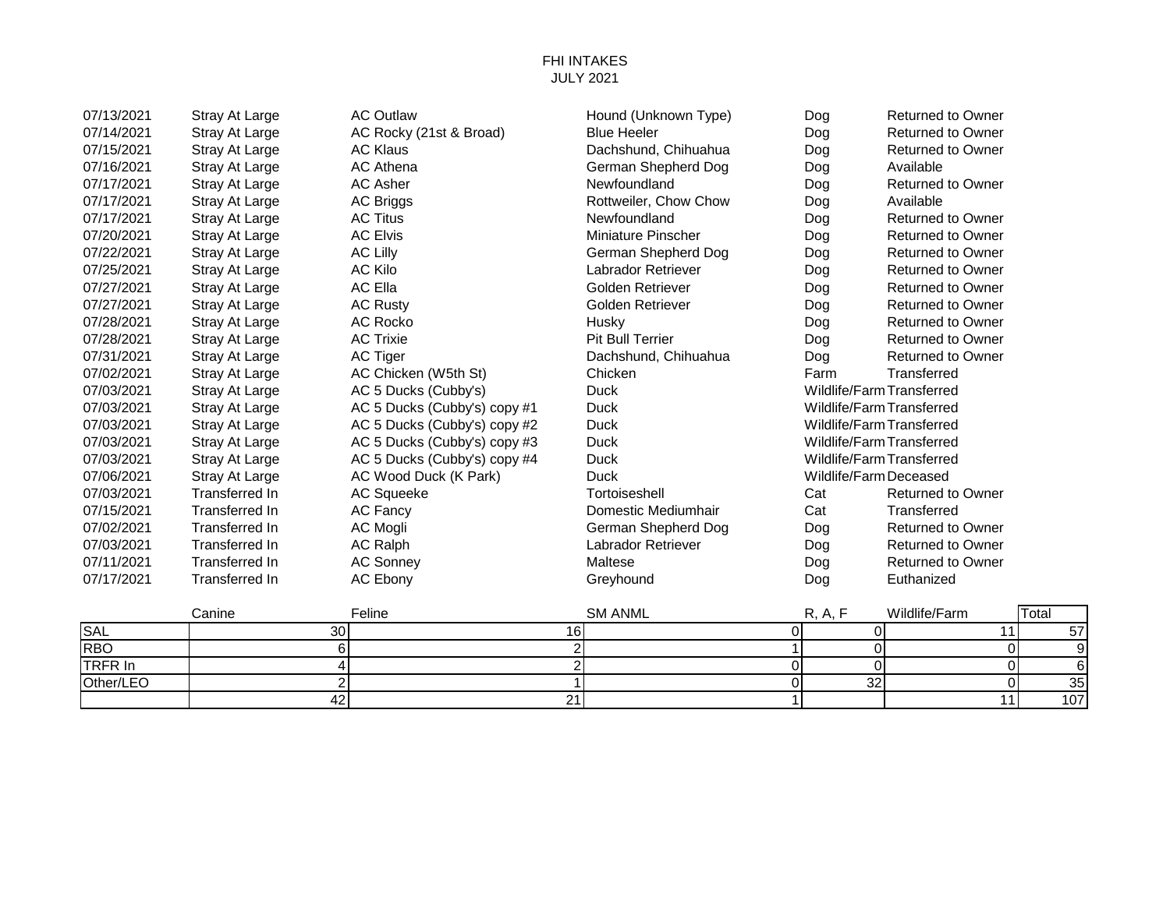## FHI INTAKES JULY 2021

| 07/13/2021 | Stray At Large        | <b>AC Outlaw</b>             | Hound (Unknown Type)  | Dog     | <b>Returned to Owner</b>  |                     |
|------------|-----------------------|------------------------------|-----------------------|---------|---------------------------|---------------------|
| 07/14/2021 | Stray At Large        | AC Rocky (21st & Broad)      | <b>Blue Heeler</b>    | Dog     | <b>Returned to Owner</b>  |                     |
| 07/15/2021 | Stray At Large        | <b>AC Klaus</b>              | Dachshund, Chihuahua  | Dog     | <b>Returned to Owner</b>  |                     |
| 07/16/2021 | Stray At Large        | <b>AC Athena</b>             | German Shepherd Dog   | Dog     | Available                 |                     |
| 07/17/2021 | Stray At Large        | <b>AC Asher</b>              | Newfoundland          | Dog     | <b>Returned to Owner</b>  |                     |
| 07/17/2021 | Stray At Large        | <b>AC Briggs</b>             | Rottweiler, Chow Chow | Dog     | Available                 |                     |
| 07/17/2021 | Stray At Large        | <b>AC Titus</b>              | Newfoundland          | Dog     | <b>Returned to Owner</b>  |                     |
| 07/20/2021 | Stray At Large        | <b>AC Elvis</b>              | Miniature Pinscher    | Dog     | <b>Returned to Owner</b>  |                     |
| 07/22/2021 | <b>Stray At Large</b> | <b>AC Lilly</b>              | German Shepherd Dog   | Dog     | <b>Returned to Owner</b>  |                     |
| 07/25/2021 | Stray At Large        | <b>AC Kilo</b>               | Labrador Retriever    | Dog     | <b>Returned to Owner</b>  |                     |
| 07/27/2021 | Stray At Large        | AC Ella                      | Golden Retriever      | Dog     | <b>Returned to Owner</b>  |                     |
| 07/27/2021 | Stray At Large        | <b>AC Rusty</b>              | Golden Retriever      | Dog     | <b>Returned to Owner</b>  |                     |
| 07/28/2021 | Stray At Large        | AC Rocko                     | Husky                 | Dog     | <b>Returned to Owner</b>  |                     |
| 07/28/2021 | Stray At Large        | <b>AC Trixie</b>             | Pit Bull Terrier      | Dog     | <b>Returned to Owner</b>  |                     |
| 07/31/2021 | Stray At Large        | AC Tiger                     | Dachshund, Chihuahua  | Dog     | <b>Returned to Owner</b>  |                     |
| 07/02/2021 | Stray At Large        | AC Chicken (W5th St)         | Chicken               | Farm    | Transferred               |                     |
| 07/03/2021 | <b>Stray At Large</b> | AC 5 Ducks (Cubby's)         | <b>Duck</b>           |         | Wildlife/Farm Transferred |                     |
| 07/03/2021 | Stray At Large        | AC 5 Ducks (Cubby's) copy #1 | <b>Duck</b>           |         | Wildlife/Farm Transferred |                     |
| 07/03/2021 | Stray At Large        | AC 5 Ducks (Cubby's) copy #2 | <b>Duck</b>           |         | Wildlife/Farm Transferred |                     |
| 07/03/2021 | <b>Stray At Large</b> | AC 5 Ducks (Cubby's) copy #3 | <b>Duck</b>           |         | Wildlife/Farm Transferred |                     |
| 07/03/2021 | Stray At Large        | AC 5 Ducks (Cubby's) copy #4 | <b>Duck</b>           |         | Wildlife/Farm Transferred |                     |
| 07/06/2021 | Stray At Large        | AC Wood Duck (K Park)        | <b>Duck</b>           |         | Wildlife/Farm Deceased    |                     |
| 07/03/2021 | <b>Transferred In</b> | <b>AC Squeeke</b>            | Tortoiseshell         | Cat     | <b>Returned to Owner</b>  |                     |
| 07/15/2021 | <b>Transferred In</b> | AC Fancy                     | Domestic Mediumhair   | Cat     | Transferred               |                     |
| 07/02/2021 | <b>Transferred In</b> | <b>AC Mogli</b>              | German Shepherd Dog   | Dog     | <b>Returned to Owner</b>  |                     |
| 07/03/2021 | <b>Transferred In</b> | <b>AC Ralph</b>              | Labrador Retriever    | Dog     | <b>Returned to Owner</b>  |                     |
| 07/11/2021 | <b>Transferred In</b> | <b>AC Sonney</b>             | Maltese               | Dog     | <b>Returned to Owner</b>  |                     |
| 07/17/2021 | <b>Transferred In</b> | <b>AC Ebony</b>              | Greyhound             | Dog     | Euthanized                |                     |
|            | Canine                | Feline                       | <b>SM ANML</b>        | R, A, F | Wildlife/Farm             | Total               |
| <b>SAL</b> |                       | 30                           | 16                    | 0       | 11<br>0                   | 57                  |
| <b>RBO</b> |                       | $6 \mid$                     | $\overline{2}$        |         | $\overline{0}$            | $\overline{0}$<br>9 |

| .          | $\tilde{\phantom{a}}$ | . .    |             | - -             |
|------------|-----------------------|--------|-------------|-----------------|
| <b>RBO</b> |                       |        |             |                 |
| TRFR In    |                       |        |             |                 |
| Other/LEO  |                       |        | $\sim$<br>ັ | ົ               |
|            |                       | $\sim$ |             | $\sim$<br>1 V I |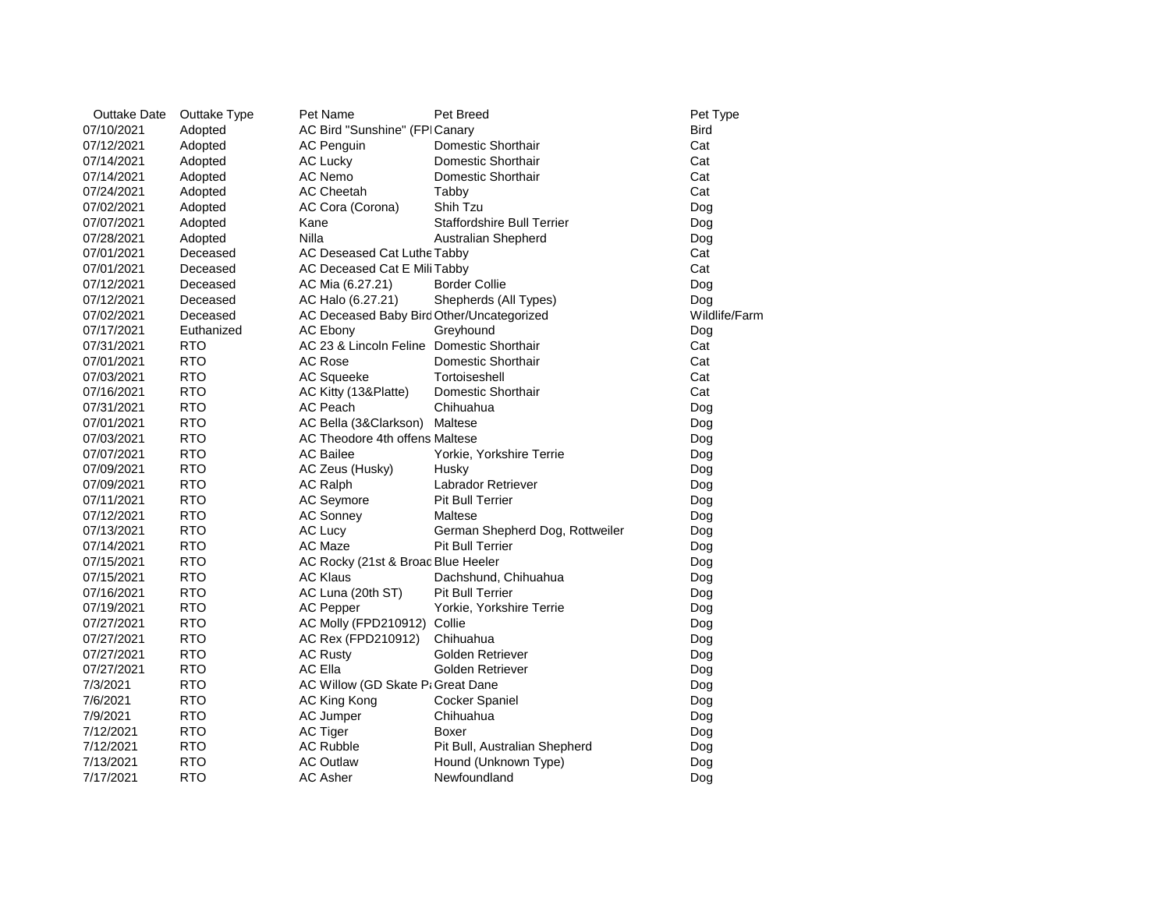| <b>Outtake Date</b> | Outtake Type | Pet Name                                  | Pet Breed                         | Pet Type      |
|---------------------|--------------|-------------------------------------------|-----------------------------------|---------------|
| 07/10/2021          | Adopted      | AC Bird "Sunshine" (FPICanary             |                                   | <b>Bird</b>   |
| 07/12/2021          | Adopted      | <b>AC Penguin</b>                         | Domestic Shorthair                | Cat           |
| 07/14/2021          | Adopted      | <b>AC Lucky</b>                           | Domestic Shorthair                | Cat           |
| 07/14/2021          | Adopted      | AC Nemo                                   | Domestic Shorthair                | Cat           |
| 07/24/2021          | Adopted      | <b>AC Cheetah</b>                         | Tabby                             | Cat           |
| 07/02/2021          | Adopted      | AC Cora (Corona)                          | Shih Tzu                          | Dog           |
| 07/07/2021          | Adopted      | Kane                                      | <b>Staffordshire Bull Terrier</b> | Dog           |
| 07/28/2021          | Adopted      | Nilla                                     | <b>Australian Shepherd</b>        | Dog           |
| 07/01/2021          | Deceased     | AC Deseased Cat Luthe Tabby               |                                   | Cat           |
| 07/01/2021          | Deceased     | AC Deceased Cat E Mili Tabby              |                                   | Cat           |
| 07/12/2021          | Deceased     | AC Mia (6.27.21)                          | <b>Border Collie</b>              | Dog           |
| 07/12/2021          | Deceased     | AC Halo (6.27.21)                         | Shepherds (All Types)             | Dog           |
| 07/02/2021          | Deceased     | AC Deceased Baby Bird Other/Uncategorized |                                   | Wildlife/Farm |
| 07/17/2021          | Euthanized   | <b>AC Ebony</b>                           | Greyhound                         | Dog           |
| 07/31/2021          | <b>RTO</b>   | AC 23 & Lincoln Feline Domestic Shorthair |                                   | Cat           |
| 07/01/2021          | <b>RTO</b>   | <b>AC Rose</b>                            | Domestic Shorthair                | Cat           |
| 07/03/2021          | <b>RTO</b>   | AC Squeeke                                | Tortoiseshell                     | Cat           |
| 07/16/2021          | <b>RTO</b>   | AC Kitty (13&Platte)                      | Domestic Shorthair                | Cat           |
| 07/31/2021          | <b>RTO</b>   | <b>AC Peach</b>                           | Chihuahua                         | Dog           |
| 07/01/2021          | <b>RTO</b>   | AC Bella (3&Clarkson)                     | Maltese                           | Dog           |
| 07/03/2021          | <b>RTO</b>   | AC Theodore 4th offens Maltese            |                                   | Dog           |
| 07/07/2021          | <b>RTO</b>   | <b>AC Bailee</b>                          | Yorkie, Yorkshire Terrie          | Dog           |
| 07/09/2021          | <b>RTO</b>   | AC Zeus (Husky)                           | Husky                             | Dog           |
| 07/09/2021          | <b>RTO</b>   | <b>AC Ralph</b>                           | Labrador Retriever                | Dog           |
| 07/11/2021          | <b>RTO</b>   | <b>AC Seymore</b>                         | <b>Pit Bull Terrier</b>           | Dog           |
| 07/12/2021          | <b>RTO</b>   | <b>AC Sonney</b>                          | Maltese                           | Dog           |
| 07/13/2021          | <b>RTO</b>   | AC Lucy                                   | German Shepherd Dog, Rottweiler   | Dog           |
| 07/14/2021          | <b>RTO</b>   | AC Maze                                   | Pit Bull Terrier                  | Dog           |
| 07/15/2021          | <b>RTO</b>   | AC Rocky (21st & Broad Blue Heeler        |                                   | Dog           |
| 07/15/2021          | <b>RTO</b>   | <b>AC Klaus</b>                           | Dachshund, Chihuahua              | Dog           |
| 07/16/2021          | <b>RTO</b>   | AC Luna (20th ST)                         | <b>Pit Bull Terrier</b>           | Dog           |
| 07/19/2021          | <b>RTO</b>   | AC Pepper                                 | Yorkie, Yorkshire Terrie          | Dog           |
| 07/27/2021          | <b>RTO</b>   | AC Molly (FPD210912) Collie               |                                   | Dog           |
| 07/27/2021          | <b>RTO</b>   | AC Rex (FPD210912)                        | Chihuahua                         | Dog           |
| 07/27/2021          | <b>RTO</b>   | <b>AC Rusty</b>                           | Golden Retriever                  | Dog           |
| 07/27/2021          | <b>RTO</b>   | AC Ella                                   | Golden Retriever                  | Dog           |
| 7/3/2021            | <b>RTO</b>   | AC Willow (GD Skate P: Great Dane         |                                   | Dog           |
| 7/6/2021            | <b>RTO</b>   | AC King Kong                              | <b>Cocker Spaniel</b>             | Dog           |
| 7/9/2021            | <b>RTO</b>   | AC Jumper                                 | Chihuahua                         | Dog           |
| 7/12/2021           | <b>RTO</b>   | <b>AC Tiger</b>                           | Boxer                             | Dog           |
| 7/12/2021           | <b>RTO</b>   | <b>AC Rubble</b>                          | Pit Bull, Australian Shepherd     | Dog           |
| 7/13/2021           | <b>RTO</b>   | <b>AC Outlaw</b>                          | Hound (Unknown Type)              | Dog           |
| 7/17/2021           | <b>RTO</b>   | <b>AC Asher</b>                           | Newfoundland                      | Dog           |